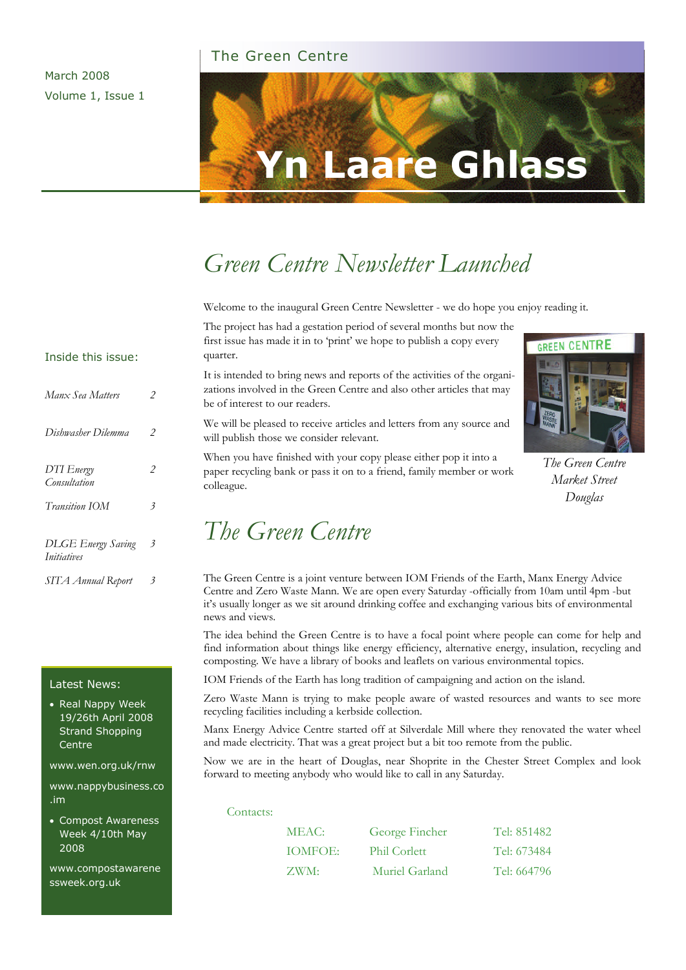#### The Green Centre

March 2008 Volume 1, Issue 1



# *Green Centre Newsletter Launched*

Welcome to the inaugural Green Centre Newsletter - we do hope you enjoy reading it.

The project has had a gestation period of several months but now the first issue has made it in to 'print' we hope to publish a copy every quarter.

It is intended to bring news and reports of the activities of the organizations involved in the Green Centre and also other articles that may be of interest to our readers.

We will be pleased to receive articles and letters from any source and will publish those we consider relevant.

When you have finished with your copy please either pop it into a paper recycling bank or pass it on to a friend, family member or work colleague.

## *The Green Centre*



*The Green Centre Market Street Douglas* 

The Green Centre is a joint venture between IOM Friends of the Earth, Manx Energy Advice Centre and Zero Waste Mann. We are open every Saturday -officially from 10am until 4pm -but it's usually longer as we sit around drinking coffee and exchanging various bits of environmental news and views.

The idea behind the Green Centre is to have a focal point where people can come for help and find information about things like energy efficiency, alternative energy, insulation, recycling and composting. We have a library of books and leaflets on various environmental topics.

IOM Friends of the Earth has long tradition of campaigning and action on the island.

Zero Waste Mann is trying to make people aware of wasted resources and wants to see more recycling facilities including a kerbside collection.

Manx Energy Advice Centre started off at Silverdale Mill where they renovated the water wheel and made electricity. That was a great project but a bit too remote from the public.

Now we are in the heart of Douglas, near Shoprite in the Chester Street Complex and look forward to meeting anybody who would like to call in any Saturday.

Contacts:

| MEAC:          | George Fincher      | Tel: 851482 |
|----------------|---------------------|-------------|
| <b>TOMFOE:</b> | <b>Phil Corlett</b> | Tel: 673484 |
| ZWM:           | Muriel Garland      | Tel: 664796 |

#### Inside this issue:

| Manx Sea Matters                                | 2                         |
|-------------------------------------------------|---------------------------|
| Dishwasher Dilemma                              | 2                         |
| DTI Energy<br>Consultation                      |                           |
| <b>Transition IOM</b>                           | $\overline{\mathfrak{z}}$ |
| <b>DLGE</b> Energy Saving<br><i>Initiatives</i> | 3                         |
| SITA Annual Report                              |                           |

#### Latest News:

• Real Nappy Week 19/26th April 2008 Strand Shopping Centre

www.wen.org.uk/rnw

www.nappybusiness.co .im

• Compost Awareness Week 4/10th May 2008

www.compostawarene ssweek.org.uk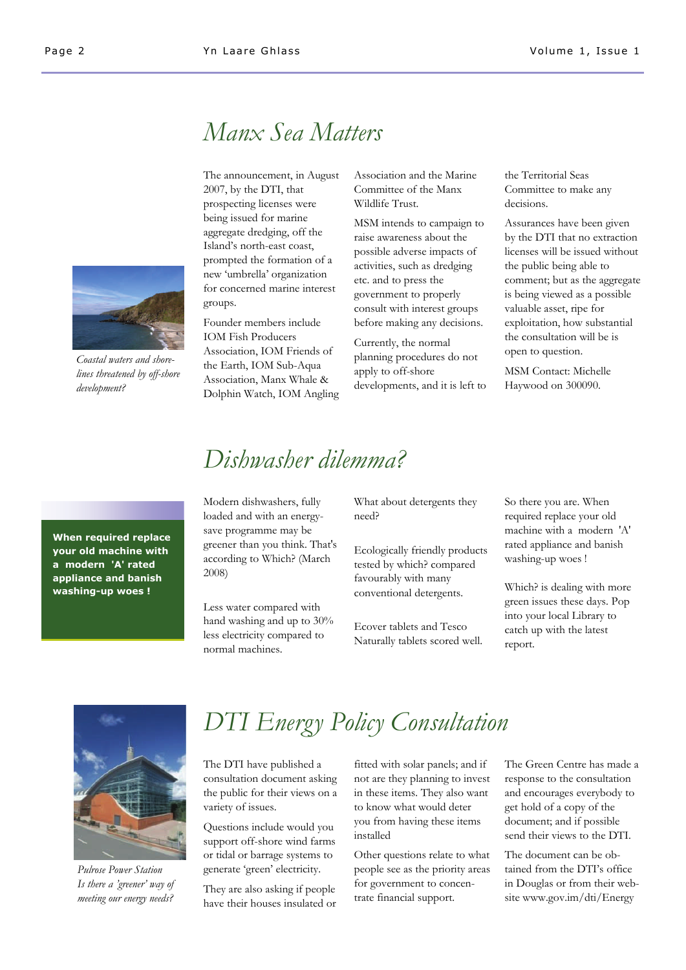

*Coastal waters and shorelines threatened by off-shore development?* 

## *Manx Sea Matters*

The announcement, in August 2007, by the DTI, that prospecting licenses were being issued for marine aggregate dredging, off the Island's north-east coast, prompted the formation of a new 'umbrella' organization for concerned marine interest groups.

Founder members include IOM Fish Producers Association, IOM Friends of the Earth, IOM Sub-Aqua Association, Manx Whale & Dolphin Watch, IOM Angling Association and the Marine Committee of the Manx Wildlife Trust.

MSM intends to campaign to raise awareness about the possible adverse impacts of activities, such as dredging etc. and to press the government to properly consult with interest groups before making any decisions.

Currently, the normal planning procedures do not apply to off-shore developments, and it is left to the Territorial Seas Committee to make any decisions.

Assurances have been given by the DTI that no extraction licenses will be issued without the public being able to comment; but as the aggregate is being viewed as a possible valuable asset, ripe for exploitation, how substantial the consultation will be is open to question.

MSM Contact: Michelle Haywood on 300090.

**When required replace your old machine with a modern 'A' rated appliance and banish washing-up woes !** 

### *Dishwasher dilemma?*

Modern dishwashers, fully loaded and with an energysave programme may be greener than you think. That's according to Which? (March 2008)

Less water compared with hand washing and up to 30% less electricity compared to normal machines.

What about detergents they need?

Ecologically friendly products tested by which? compared favourably with many conventional detergents.

Ecover tablets and Tesco Naturally tablets scored well. So there you are. When required replace your old machine with a modern 'A' rated appliance and banish washing-up woes !

Which? is dealing with more green issues these days. Pop into your local Library to catch up with the latest report.



*Pulrose Power Station Is there a 'greener' way of meeting our energy needs?* 

# *DTI Energy Policy Consultation*

The DTI have published a consultation document asking the public for their views on a variety of issues.

Questions include would you support off-shore wind farms or tidal or barrage systems to generate 'green' electricity.

They are also asking if people have their houses insulated or fitted with solar panels; and if not are they planning to invest in these items. They also want to know what would deter you from having these items installed

Other questions relate to what people see as the priority areas for government to concentrate financial support.

The Green Centre has made a response to the consultation and encourages everybody to get hold of a copy of the document; and if possible send their views to the DTI.

The document can be obtained from the DTI's office in Douglas or from their website www.gov.im/dti/Energy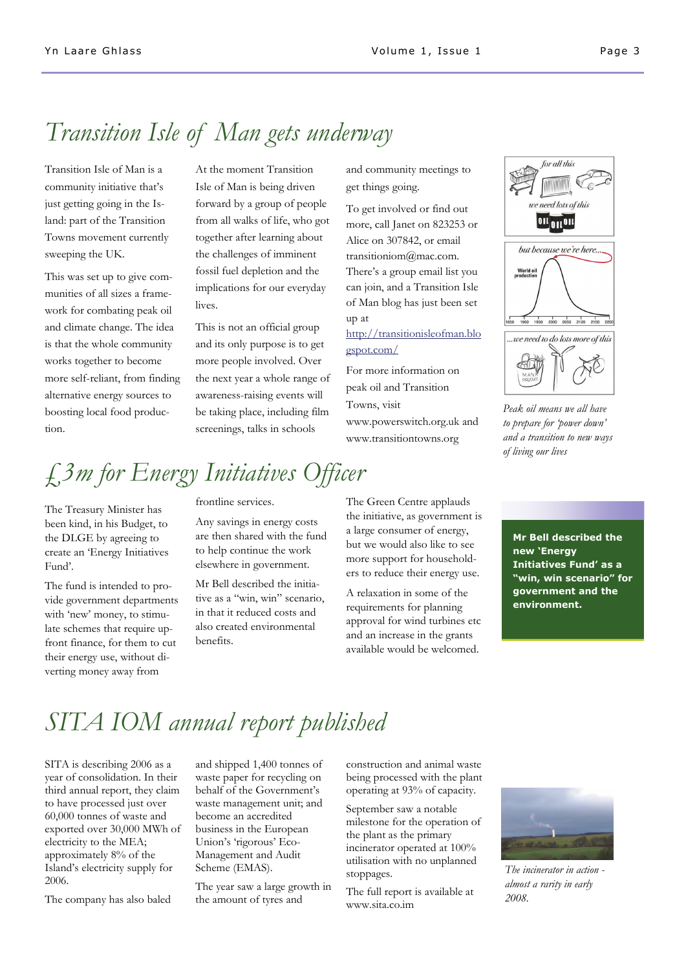### *Transition Isle of Man gets underway*

Transition Isle of Man is a community initiative that's just getting going in the Island: part of the Transition Towns movement currently sweeping the UK.

This was set up to give communities of all sizes a framework for combating peak oil and climate change. The idea is that the whole community works together to become more self-reliant, from finding alternative energy sources to boosting local food production.

At the moment Transition Isle of Man is being driven forward by a group of people from all walks of life, who got together after learning about the challenges of imminent fossil fuel depletion and the implications for our everyday lives.

This is not an official group and its only purpose is to get more people involved. Over the next year a whole range of awareness-raising events will be taking place, including film screenings, talks in schools

and community meetings to get things going.

To get involved or find out more, call Janet on 823253 or Alice on 307842, or email transitioniom@mac.com. There's a group email list you can join, and a Transition Isle of Man blog has just been set up at

#### http://transitionisleofman.blo gspot.com/

For more information on peak oil and Transition Towns, visit www.powerswitch.org.uk and www.transitiontowns.org



#### *Peak oil means we all have to prepare for 'power down' and a transition to new ways of living our lives*

# *£3m for Energy Initiatives Officer*

The Treasury Minister has been kind, in his Budget, to the DLGE by agreeing to create an 'Energy Initiatives Fund'.

The fund is intended to provide government departments with 'new' money, to stimulate schemes that require upfront finance, for them to cut their energy use, without diverting money away from

#### frontline services.

Any savings in energy costs are then shared with the fund to help continue the work elsewhere in government.

Mr Bell described the initiative as a "win, win" scenario, in that it reduced costs and also created environmental benefits.

The Green Centre applauds the initiative, as government is a large consumer of energy, but we would also like to see more support for householders to reduce their energy use.

A relaxation in some of the requirements for planning approval for wind turbines etc and an increase in the grants available would be welcomed.

**Mr Bell described the new 'Energy Initiatives Fund' as a "win, win scenario" for government and the environment.** 

# *SITA IOM annual report published*

SITA is describing 2006 as a year of consolidation. In their third annual report, they claim to have processed just over 60,000 tonnes of waste and exported over 30,000 MWh of electricity to the MEA; approximately 8% of the Island's electricity supply for 2006.

The company has also baled

and shipped 1,400 tonnes of waste paper for recycling on behalf of the Government's waste management unit; and become an accredited business in the European Union's 'rigorous' Eco-Management and Audit Scheme (EMAS).

The year saw a large growth in the amount of tyres and

construction and animal waste being processed with the plant operating at 93% of capacity.

September saw a notable milestone for the operation of the plant as the primary incinerator operated at 100% utilisation with no unplanned stoppages.

The full report is available at www.sita.co.im



*The incinerator in action almost a rarity in early 2008.*